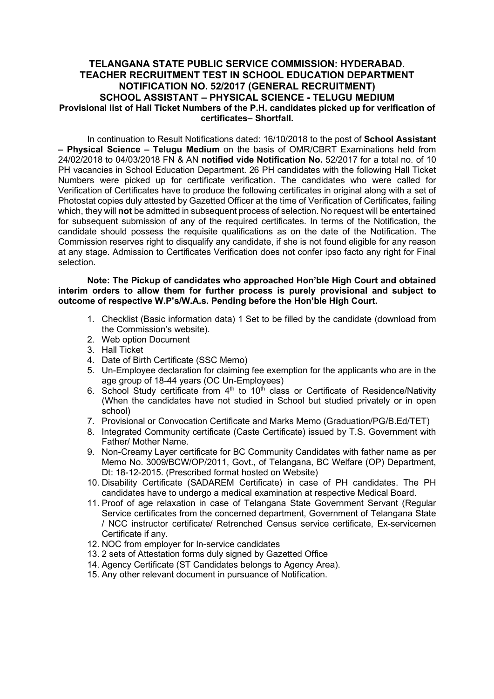## TELANGANA STATE PUBLIC SERVICE COMMISSION: HYDERABAD. TEACHER RECRUITMENT TEST IN SCHOOL EDUCATION DEPARTMENT NOTIFICATION NO. 52/2017 (GENERAL RECRUITMENT) SCHOOL ASSISTANT – PHYSICAL SCIENCE - TELUGU MEDIUM Provisional list of Hall Ticket Numbers of the P.H. candidates picked up for verification of certificates– Shortfall.

In continuation to Result Notifications dated: 16/10/2018 to the post of School Assistant – Physical Science – Telugu Medium on the basis of OMR/CBRT Examinations held from 24/02/2018 to 04/03/2018 FN & AN notified vide Notification No. 52/2017 for a total no. of 10 PH vacancies in School Education Department. 26 PH candidates with the following Hall Ticket Numbers were picked up for certificate verification. The candidates who were called for Verification of Certificates have to produce the following certificates in original along with a set of Photostat copies duly attested by Gazetted Officer at the time of Verification of Certificates, failing which, they will not be admitted in subsequent process of selection. No request will be entertained for subsequent submission of any of the required certificates. In terms of the Notification, the candidate should possess the requisite qualifications as on the date of the Notification. The Commission reserves right to disqualify any candidate, if she is not found eligible for any reason at any stage. Admission to Certificates Verification does not confer ipso facto any right for Final selection.

Note: The Pickup of candidates who approached Hon'ble High Court and obtained interim orders to allow them for further process is purely provisional and subject to outcome of respective W.P's/W.A.s. Pending before the Hon'ble High Court.

- 1. Checklist (Basic information data) 1 Set to be filled by the candidate (download from the Commission's website).
- 2. Web option Document
- 3. Hall Ticket
- 4. Date of Birth Certificate (SSC Memo)
- 5. Un-Employee declaration for claiming fee exemption for the applicants who are in the age group of 18-44 years (OC Un-Employees)
- 6. School Study certificate from  $4<sup>th</sup>$  to  $10<sup>th</sup>$  class or Certificate of Residence/Nativity (When the candidates have not studied in School but studied privately or in open school)
- 7. Provisional or Convocation Certificate and Marks Memo (Graduation/PG/B.Ed/TET)
- 8. Integrated Community certificate (Caste Certificate) issued by T.S. Government with Father/ Mother Name.
- 9. Non-Creamy Layer certificate for BC Community Candidates with father name as per Memo No. 3009/BCW/OP/2011, Govt., of Telangana, BC Welfare (OP) Department, Dt: 18-12-2015. (Prescribed format hosted on Website)
- 10. Disability Certificate (SADAREM Certificate) in case of PH candidates. The PH candidates have to undergo a medical examination at respective Medical Board.
- 11. Proof of age relaxation in case of Telangana State Government Servant (Regular Service certificates from the concerned department, Government of Telangana State / NCC instructor certificate/ Retrenched Census service certificate, Ex-servicemen Certificate if any.
- 12. NOC from employer for In-service candidates
- 13. 2 sets of Attestation forms duly signed by Gazetted Office
- 14. Agency Certificate (ST Candidates belongs to Agency Area).
- 15. Any other relevant document in pursuance of Notification.